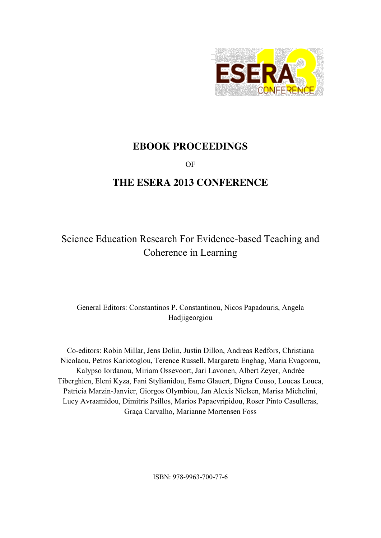

# **EBOOK PROCEEDINGS**

OF

# **THE ESERA 2013 CONFERENCE**

# Science Education Research For Evidence-based Teaching and Coherence in Learning

General Editors: Constantinos P. Constantinou, Nicos Papadouris, Angela Hadjigeorgiou

Co-editors: Robin Millar, Jens Dolin, Justin Dillon, Andreas Redfors, Christiana Nicolaou, Petros Kariotoglou, Terence Russell, Margareta Enghag, Maria Evagorou, Kalypso Iordanou, Miriam Ossevoort, Jari Lavonen, Albert Zeyer, Andrée Tiberghien, Eleni Kyza, Fani Stylianidou, Esme Glauert, Digna Couso, Loucas Louca, Patricia Marzin-Janvier, Giorgos Olymbiou, Jan Alexis Nielsen, Marisa Michelini, Lucy Avraamidou, Dimitris Psillos, Marios Papaevripidou, Roser Pinto Casulleras, Graça Carvalho, Marianne Mortensen Foss

ISBN: 978-9963-700-77-6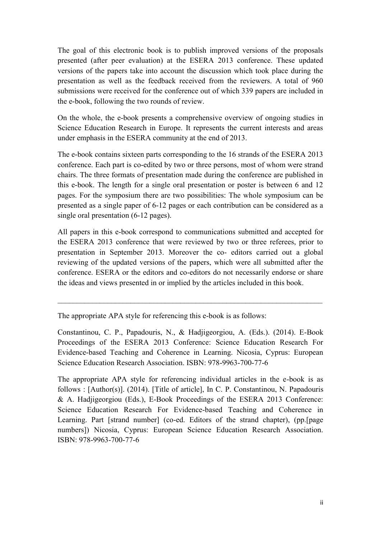The goal of this electronic book is to publish improved versions of the proposals presented (after peer evaluation) at the ESERA 2013 conference. These updated versions of the papers take into account the discussion which took place during the presentation as well as the feedback received from the reviewers. A total of 960 submissions were received for the conference out of which 339 papers are included in the e-book, following the two rounds of review.

On the whole, the e-book presents a comprehensive overview of ongoing studies in Science Education Research in Europe. It represents the current interests and areas under emphasis in the ESERA community at the end of 2013.

The e-book contains sixteen parts corresponding to the 16 strands of the ESERA 2013 conference. Each part is co-edited by two or three persons, most of whom were strand chairs. The three formats of presentation made during the conference are published in this e-book. The length for a single oral presentation or poster is between 6 and 12 pages. For the symposium there are two possibilities: The whole symposium can be presented as a single paper of 6-12 pages or each contribution can be considered as a single oral presentation (6-12 pages).

All papers in this e-book correspond to communications submitted and accepted for the ESERA 2013 conference that were reviewed by two or three referees, prior to presentation in September 2013. Moreover the co- editors carried out a global reviewing of the updated versions of the papers, which were all submitted after the conference. ESERA or the editors and co-editors do not necessarily endorse or share the ideas and views presented in or implied by the articles included in this book.

 $\mathcal{L}_\text{max} = \frac{1}{2} \sum_{i=1}^n \mathcal{L}_\text{max}(\mathbf{z}_i - \mathbf{z}_i)$ 

The appropriate APA style for referencing this e-book is as follows:

Constantinou, C. P., Papadouris, N., & Hadjigeorgiou, A. (Eds.). (2014). E-Book Proceedings of the ESERA 2013 Conference: Science Education Research For Evidence-based Teaching and Coherence in Learning. Nicosia, Cyprus: European Science Education Research Association. ISBN: 978-9963-700-77-6

The appropriate APA style for referencing individual articles in the e-book is as follows : [Author(s)]. (2014). [Title of article], In C. P. Constantinou, N. Papadouris & A. Hadjigeorgiou (Eds.), E-Book Proceedings of the ESERA 2013 Conference: Science Education Research For Evidence-based Teaching and Coherence in Learning. Part [strand number] (co-ed. Editors of the strand chapter), (pp.[page numbers]) Nicosia, Cyprus: European Science Education Research Association. ISBN: 978-9963-700-77-6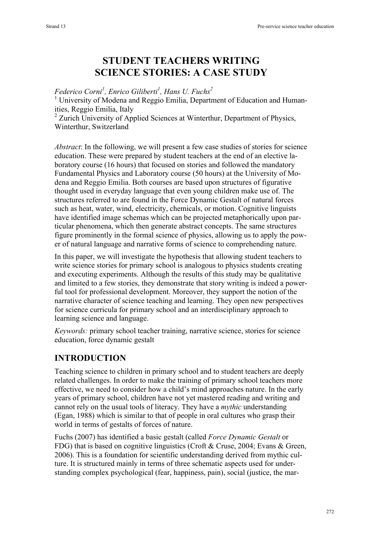# **STUDENT TEACHERS WRITING SCIENCE STORIES: A CASE STUDY**

#### *Federico Corni1 , Enrico Giliberti1 , Hans U. Fuchs<sup>2</sup>*

<sup>1</sup> University of Modena and Reggio Emilia, Department of Education and Humanities, Reggio Emilia, Italy

<sup>2</sup> Zurich University of Applied Sciences at Winterthur, Department of Physics, Winterthur, Switzerland

*Abstract*: In the following, we will present a few case studies of stories for science education. These were prepared by student teachers at the end of an elective laboratory course (16 hours) that focused on stories and followed the mandatory Fundamental Physics and Laboratory course (50 hours) at the University of Modena and Reggio Emilia. Both courses are based upon structures of figurative thought used in everyday language that even young children make use of. The structures referred to are found in the Force Dynamic Gestalt of natural forces such as heat, water, wind, electricity, chemicals, or motion. Cognitive linguists have identified image schemas which can be projected metaphorically upon particular phenomena, which then generate abstract concepts. The same structures figure prominently in the formal science of physics, allowing us to apply the power of natural language and narrative forms of science to comprehending nature.

In this paper, we will investigate the hypothesis that allowing student teachers to write science stories for primary school is analogous to physics students creating and executing experiments. Although the results of this study may be qualitative and limited to a few stories, they demonstrate that story writing is indeed a powerful tool for professional development. Moreover, they support the notion of the narrative character of science teaching and learning. They open new perspectives for science curricula for primary school and an interdisciplinary approach to learning science and language.

*Keywords:* primary school teacher training, narrative science, stories for science education, force dynamic gestalt

#### **INTRODUCTION**

Teaching science to children in primary school and to student teachers are deeply related challenges. In order to make the training of primary school teachers more effective, we need to consider how a child's mind approaches nature. In the early years of primary school, children have not yet mastered reading and writing and cannot rely on the usual tools of literacy. They have a *mythic* understanding (Egan, 1988) which is similar to that of people in oral cultures who grasp their world in terms of gestalts of forces of nature.

Fuchs (2007) has identified a basic gestalt (called *Force Dynamic Gestalt* or FDG) that is based on cognitive linguistics (Croft & Cruse, 2004; Evans & Green, 2006). This is a foundation for scientific understanding derived from mythic culture. It is structured mainly in terms of three schematic aspects used for understanding complex psychological (fear, happiness, pain), social (justice, the mar-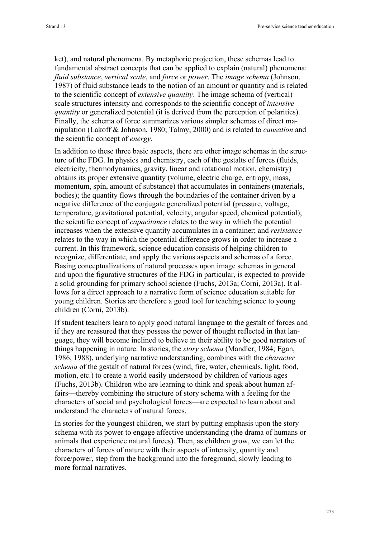ket), and natural phenomena. By metaphoric projection, these schemas lead to fundamental abstract concepts that can be applied to explain (natural) phenomena: *fluid substance*, *vertical scale*, and *force* or *power*. The *image schema* (Johnson, 1987) of fluid substance leads to the notion of an amount or quantity and is related to the scientific concept of *extensive quantity*. The image schema of (vertical) scale structures intensity and corresponds to the scientific concept of *intensive quantity* or generalized potential (it is derived from the perception of polarities). Finally, the schema of force summarizes various simpler schemas of direct manipulation (Lakoff & Johnson, 1980; Talmy, 2000) and is related to *causation* and the scientific concept of *energy*.

In addition to these three basic aspects, there are other image schemas in the structure of the FDG. In physics and chemistry, each of the gestalts of forces (fluids, electricity, thermodynamics, gravity, linear and rotational motion, chemistry) obtains its proper extensive quantity (volume, electric charge, entropy, mass, momentum, spin, amount of substance) that accumulates in containers (materials, bodies); the quantity flows through the boundaries of the container driven by a negative difference of the conjugate generalized potential (pressure, voltage, temperature, gravitational potential, velocity, angular speed, chemical potential); the scientific concept of *capacitance* relates to the way in which the potential increases when the extensive quantity accumulates in a container; and *resistance* relates to the way in which the potential difference grows in order to increase a current. In this framework, science education consists of helping children to recognize, differentiate, and apply the various aspects and schemas of a force. Basing conceptualizations of natural processes upon image schemas in general and upon the figurative structures of the FDG in particular, is expected to provide a solid grounding for primary school science (Fuchs, 2013a; Corni, 2013a). It allows for a direct approach to a narrative form of science education suitable for young children. Stories are therefore a good tool for teaching science to young children (Corni, 2013b).

If student teachers learn to apply good natural language to the gestalt of forces and if they are reassured that they possess the power of thought reflected in that language, they will become inclined to believe in their ability to be good narrators of things happening in nature. In stories, the *story schema* (Mandler, 1984; Egan, 1986, 1988), underlying narrative understanding, combines with the *character schema* of the gestalt of natural forces (wind, fire, water, chemicals, light, food, motion, etc.) to create a world easily understood by children of various ages (Fuchs, 2013b). Children who are learning to think and speak about human affairs—thereby combining the structure of story schema with a feeling for the characters of social and psychological forces—are expected to learn about and understand the characters of natural forces.

In stories for the youngest children, we start by putting emphasis upon the story schema with its power to engage affective understanding (the drama of humans or animals that experience natural forces). Then, as children grow, we can let the characters of forces of nature with their aspects of intensity, quantity and force/power, step from the background into the foreground, slowly leading to more formal narratives.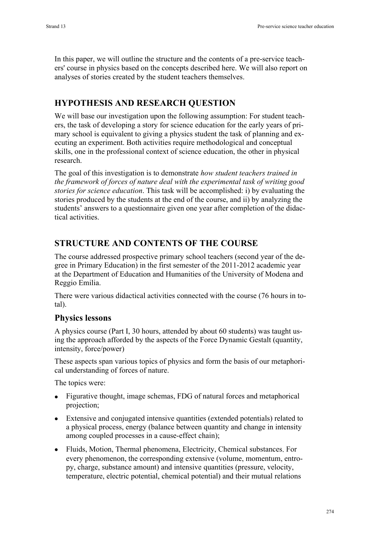In this paper, we will outline the structure and the contents of a pre-service teachers' course in physics based on the concepts described here. We will also report on analyses of stories created by the student teachers themselves.

# **HYPOTHESIS AND RESEARCH QUESTION**

We will base our investigation upon the following assumption: For student teachers, the task of developing a story for science education for the early years of primary school is equivalent to giving a physics student the task of planning and executing an experiment. Both activities require methodological and conceptual skills, one in the professional context of science education, the other in physical research.

The goal of this investigation is to demonstrate *how student teachers trained in the framework of forces of nature deal with the experimental task of writing good stories for science education*. This task will be accomplished: i) by evaluating the stories produced by the students at the end of the course, and ii) by analyzing the students' answers to a questionnaire given one year after completion of the didactical activities.

# **STRUCTURE AND CONTENTS OF THE COURSE**

The course addressed prospective primary school teachers (second year of the degree in Primary Education) in the first semester of the 2011-2012 academic year at the Department of Education and Humanities of the University of Modena and Reggio Emilia.

There were various didactical activities connected with the course (76 hours in total).

### **Physics lessons**

A physics course (Part I, 30 hours, attended by about 60 students) was taught using the approach afforded by the aspects of the Force Dynamic Gestalt (quantity, intensity, force/power)

These aspects span various topics of physics and form the basis of our metaphorical understanding of forces of nature.

The topics were:

- Figurative thought, image schemas, FDG of natural forces and metaphorical projection;
- Extensive and conjugated intensive quantities (extended potentials) related to a physical process, energy (balance between quantity and change in intensity among coupled processes in a cause-effect chain);
- Fluids, Motion, Thermal phenomena, Electricity, Chemical substances. For every phenomenon, the corresponding extensive (volume, momentum, entropy, charge, substance amount) and intensive quantities (pressure, velocity, temperature, electric potential, chemical potential) and their mutual relations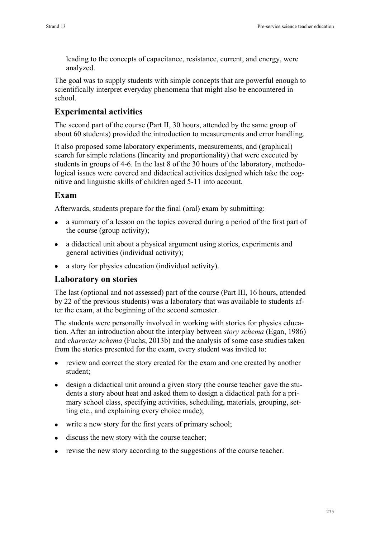leading to the concepts of capacitance, resistance, current, and energy, were analyzed.

The goal was to supply students with simple concepts that are powerful enough to scientifically interpret everyday phenomena that might also be encountered in school.

# **Experimental activities**

The second part of the course (Part II, 30 hours, attended by the same group of about 60 students) provided the introduction to measurements and error handling.

It also proposed some laboratory experiments, measurements, and (graphical) search for simple relations (linearity and proportionality) that were executed by students in groups of 4-6. In the last 8 of the 30 hours of the laboratory, methodological issues were covered and didactical activities designed which take the cognitive and linguistic skills of children aged 5-11 into account.

# **Exam**

Afterwards, students prepare for the final (oral) exam by submitting:

- a summary of a lesson on the topics covered during a period of the first part of the course (group activity);
- a didactical unit about a physical argument using stories, experiments and general activities (individual activity);
- a story for physics education (individual activity).

### **Laboratory on stories**

The last (optional and not assessed) part of the course (Part III, 16 hours, attended by 22 of the previous students) was a laboratory that was available to students after the exam, at the beginning of the second semester.

The students were personally involved in working with stories for physics education. After an introduction about the interplay between *story schema* (Egan, 1986) and *character schema* (Fuchs, 2013b) and the analysis of some case studies taken from the stories presented for the exam, every student was invited to:

- review and correct the story created for the exam and one created by another student;
- design a didactical unit around a given story (the course teacher gave the students a story about heat and asked them to design a didactical path for a primary school class, specifying activities, scheduling, materials, grouping, setting etc., and explaining every choice made);
- write a new story for the first years of primary school;
- discuss the new story with the course teacher:
- revise the new story according to the suggestions of the course teacher.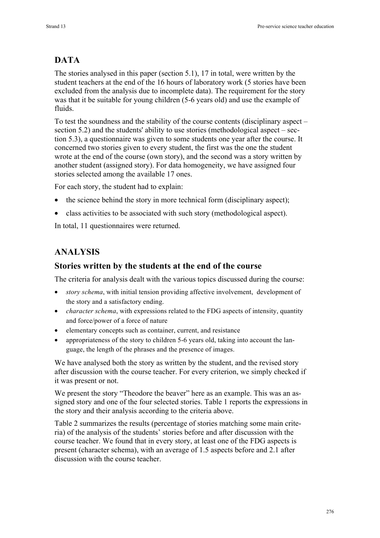# **DATA**

The stories analysed in this paper (section 5.1), 17 in total, were written by the student teachers at the end of the 16 hours of laboratory work (5 stories have been excluded from the analysis due to incomplete data). The requirement for the story was that it be suitable for young children (5-6 years old) and use the example of fluids.

To test the soundness and the stability of the course contents (disciplinary aspect – section 5.2) and the students' ability to use stories (methodological aspect – section 5.3), a questionnaire was given to some students one year after the course. It concerned two stories given to every student, the first was the one the student wrote at the end of the course (own story), and the second was a story written by another student (assigned story). For data homogeneity, we have assigned four stories selected among the available 17 ones.

For each story, the student had to explain:

- the science behind the story in more technical form (disciplinary aspect);
- class activities to be associated with such story (methodological aspect).

In total, 11 questionnaires were returned.

### **ANALYSIS**

#### **Stories written by the students at the end of the course**

The criteria for analysis dealt with the various topics discussed during the course:

- *story schema*, with initial tension providing affective involvement, development of the story and a satisfactory ending.
- *character schema*, with expressions related to the FDG aspects of intensity, quantity and force/power of a force of nature
- elementary concepts such as container, current, and resistance
- appropriateness of the story to children 5-6 years old, taking into account the language, the length of the phrases and the presence of images.

We have analysed both the story as written by the student, and the revised story after discussion with the course teacher. For every criterion, we simply checked if it was present or not.

We present the story "Theodore the beaver" here as an example. This was an assigned story and one of the four selected stories. Table 1 reports the expressions in the story and their analysis according to the criteria above.

Table 2 summarizes the results (percentage of stories matching some main criteria) of the analysis of the students' stories before and after discussion with the course teacher. We found that in every story, at least one of the FDG aspects is present (character schema), with an average of 1.5 aspects before and 2.1 after discussion with the course teacher.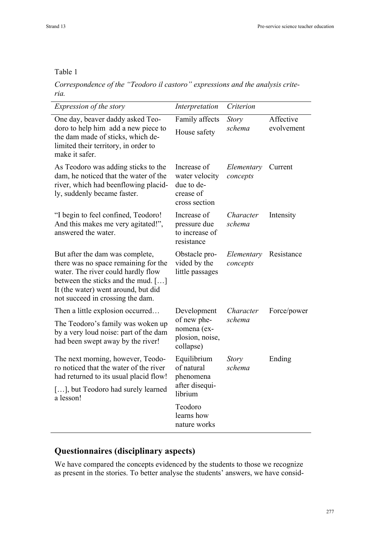#### Table 1

*Correspondence of the "Teodoro il castoro" expressions and the analysis criteria.*

| <i>Expression of the story</i>                                                                                                                                                                                                 | Interpretation                                                            | Criterion              |                         |
|--------------------------------------------------------------------------------------------------------------------------------------------------------------------------------------------------------------------------------|---------------------------------------------------------------------------|------------------------|-------------------------|
| One day, beaver daddy asked Teo-<br>doro to help him add a new piece to<br>the dam made of sticks, which de-<br>limited their territory, in order to<br>make it safer.                                                         | Family affects<br>House safety                                            | <b>Story</b><br>schema | Affective<br>evolvement |
| As Teodoro was adding sticks to the<br>dam, he noticed that the water of the<br>river, which had beenflowing placid-<br>ly, suddenly became faster.                                                                            | Increase of<br>water velocity<br>due to de-<br>crease of<br>cross section | Elementary<br>concepts | Current                 |
| "I begin to feel confined, Teodoro!"<br>And this makes me very agitated!",<br>answered the water.                                                                                                                              | Increase of<br>pressure due<br>to increase of<br>resistance               | Character<br>schema    | Intensity               |
| But after the dam was complete,<br>there was no space remaining for the<br>water. The river could hardly flow<br>between the sticks and the mud. []<br>It (the water) went around, but did<br>not succeed in crossing the dam. | Obstacle pro-<br>vided by the<br>little passages                          | Elementary<br>concepts | Resistance              |
| Then a little explosion occurred<br>The Teodoro's family was woken up<br>by a very loud noise: part of the dam<br>had been swept away by the river!                                                                            | Development<br>of new phe-<br>nomena (ex-<br>plosion, noise,<br>collapse) | Character<br>schema    | Force/power             |
| The next morning, however, Teodo-<br>ro noticed that the water of the river<br>had returned to its usual placid flow!<br>[], but Teodoro had surely learned<br>a lesson!                                                       | Equilibrium<br>of natural<br>phenomena<br>after disequi-<br>librium       | <b>Story</b><br>schema | Ending                  |
|                                                                                                                                                                                                                                | Teodoro<br>learns how<br>nature works                                     |                        |                         |

### **Questionnaires (disciplinary aspects)**

We have compared the concepts evidenced by the students to those we recognize as present in the stories. To better analyse the students' answers, we have consid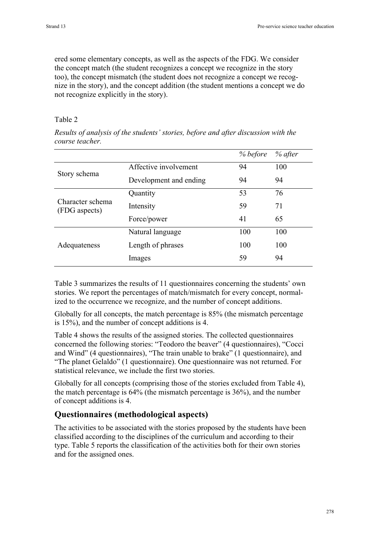ered some elementary concepts, as well as the aspects of the FDG. We consider the concept match (the student recognizes a concept we recognize in the story too), the concept mismatch (the student does not recognize a concept we recognize in the story), and the concept addition (the student mentions a concept we do not recognize explicitly in the story).

#### Table 2

*Results of analysis of the students' stories, before and after discussion with the course teacher.*

|                                   |                        | % before | % after |
|-----------------------------------|------------------------|----------|---------|
| Story schema                      | Affective involvement  | 94       | 100     |
|                                   | Development and ending | 94       | 94      |
|                                   | Quantity               | 53       | 76      |
| Character schema<br>(FDG aspects) | Intensity              | 59       | 71      |
|                                   | Force/power            | 41       | 65      |
|                                   | Natural language       | 100      | 100     |
| Adequateness                      | Length of phrases      | 100      | 100     |
|                                   | Images                 | 59       | 94      |

Table 3 summarizes the results of 11 questionnaires concerning the students' own stories. We report the percentages of match/mismatch for every concept, normalized to the occurrence we recognize, and the number of concept additions.

Globally for all concepts, the match percentage is 85% (the mismatch percentage is 15%), and the number of concept additions is 4.

Table 4 shows the results of the assigned stories. The collected questionnaires concerned the following stories: "Teodoro the beaver" (4 questionnaires), "Cocci and Wind" (4 questionnaires), "The train unable to brake" (1 questionnaire), and "The planet Gelaldo" (1 questionnaire). One questionnaire was not returned. For statistical relevance, we include the first two stories.

Globally for all concepts (comprising those of the stories excluded from Table 4), the match percentage is 64% (the mismatch percentage is 36%), and the number of concept additions is 4.

### **Questionnaires (methodological aspects)**

The activities to be associated with the stories proposed by the students have been classified according to the disciplines of the curriculum and according to their type. Table 5 reports the classification of the activities both for their own stories and for the assigned ones.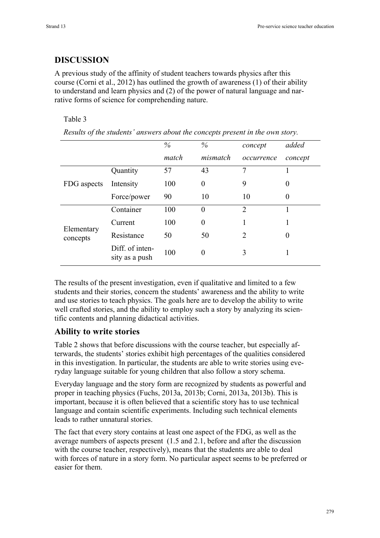### **DISCUSSION**

A previous study of the affinity of student teachers towards physics after this course (Corni et al., 2012) has outlined the growth of awareness (1) of their ability to understand and learn physics and (2) of the power of natural language and narrative forms of science for comprehending nature.

#### Table 3

|                        |                                   | $\%$  | $\%$           | concept        | added    |
|------------------------|-----------------------------------|-------|----------------|----------------|----------|
|                        |                                   | match | mismatch       | occurrence     | concept  |
| FDG aspects            | Quantity                          | 57    | 43             | 7              |          |
|                        | Intensity                         | 100   | $\theta$       | 9              | $\theta$ |
|                        | Force/power                       | 90    | 10             | 10             | $\theta$ |
| Elementary<br>concepts | Container                         | 100   | $\overline{0}$ | $\overline{2}$ |          |
|                        | Current                           | 100   | 0              |                |          |
|                        | Resistance                        | 50    | 50             | 2              | $\theta$ |
|                        | Diff. of inten-<br>sity as a push | 100   | 0              | 3              |          |
|                        |                                   |       |                |                |          |

*Results of the students' answers about the concepts present in the own story.*

The results of the present investigation, even if qualitative and limited to a few students and their stories, concern the students' awareness and the ability to write and use stories to teach physics. The goals here are to develop the ability to write well crafted stories, and the ability to employ such a story by analyzing its scientific contents and planning didactical activities.

#### **Ability to write stories**

Table 2 shows that before discussions with the course teacher, but especially afterwards, the students' stories exhibit high percentages of the qualities considered in this investigation. In particular, the students are able to write stories using everyday language suitable for young children that also follow a story schema.

Everyday language and the story form are recognized by students as powerful and proper in teaching physics (Fuchs, 2013a, 2013b; Corni, 2013a, 2013b). This is important, because it is often believed that a scientific story has to use technical language and contain scientific experiments. Including such technical elements leads to rather unnatural stories.

The fact that every story contains at least one aspect of the FDG, as well as the average numbers of aspects present (1.5 and 2.1, before and after the discussion with the course teacher, respectively), means that the students are able to deal with forces of nature in a story form. No particular aspect seems to be preferred or easier for them.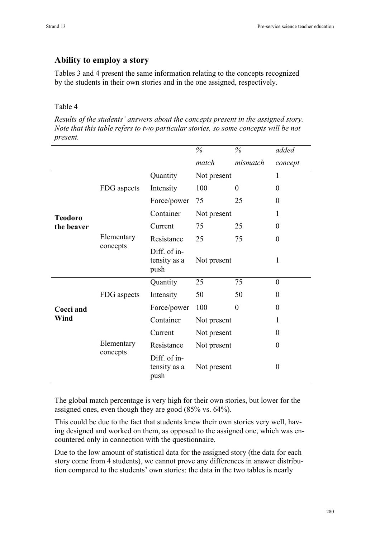#### **Ability to employ a story**

Tables 3 and 4 present the same information relating to the concepts recognized by the students in their own stories and in the one assigned, respectively.

#### Table 4

*Results of the students' answers about the concepts present in the assigned story. Note that this table refers to two particular stories, so some concepts will be not present.*

|                   |                        |                                      | $\%$        | $\%$     | added    |
|-------------------|------------------------|--------------------------------------|-------------|----------|----------|
|                   |                        |                                      | match       | mismatch | concept  |
|                   | FDG aspects            | Quantity                             | Not present |          | 1        |
|                   |                        | Intensity                            | 100         | $\theta$ | $\theta$ |
|                   |                        | Force/power                          | 75          | 25       | $\Omega$ |
| <b>Teodoro</b>    |                        | Container                            | Not present |          | 1        |
| the beaver        |                        | Current                              | 75          | 25       | $\Omega$ |
|                   | Elementary<br>concepts | Resistance                           | 25          | 75       | $\Omega$ |
|                   |                        | Diff. of in-<br>tensity as a<br>push | Not present |          | 1        |
|                   |                        | Quantity                             | 25          | 75       | $\theta$ |
|                   | FDG aspects            | Intensity                            | 50          | 50       | $\Omega$ |
| Cocci and<br>Wind |                        | Force/power                          | 100         | $\theta$ | $\Omega$ |
|                   |                        | Container                            | Not present |          | 1        |
|                   | Elementary<br>concepts | Current                              | Not present |          | $\Omega$ |
|                   |                        | Resistance                           | Not present |          | $\theta$ |
|                   |                        | Diff. of in-<br>tensity as a<br>push | Not present |          | $\theta$ |

The global match percentage is very high for their own stories, but lower for the assigned ones, even though they are good (85% vs. 64%).

This could be due to the fact that students knew their own stories very well, having designed and worked on them, as opposed to the assigned one, which was encountered only in connection with the questionnaire.

Due to the low amount of statistical data for the assigned story (the data for each story come from 4 students), we cannot prove any differences in answer distribution compared to the students' own stories: the data in the two tables is nearly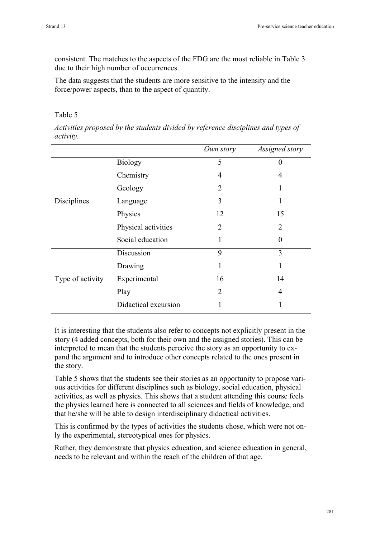consistent. The matches to the aspects of the FDG are the most reliable in Table 3 due to their high number of occurrences.

The data suggests that the students are more sensitive to the intensity and the force/power aspects, than to the aspect of quantity.

#### Table 5

*Activities proposed by the students divided by reference disciplines and types of activity.*

|                  |                      | Own story      | Assigned story |
|------------------|----------------------|----------------|----------------|
|                  | <b>Biology</b>       | 5              | 0              |
|                  | Chemistry            | $\overline{4}$ | 4              |
|                  | Geology              | $\overline{2}$ | 1              |
| Disciplines      | Language             | 3              | 1              |
|                  | Physics              | 12             | 15             |
|                  | Physical activities  | $\overline{2}$ | 2              |
|                  | Social education     | 1              | 0              |
|                  | Discussion           | 9              | 3              |
| Type of activity | Drawing              | 1              | 1              |
|                  | Experimental         | 16             | 14             |
|                  | Play                 | $\overline{2}$ | 4              |
|                  | Didactical excursion | 1              | 1              |

It is interesting that the students also refer to concepts not explicitly present in the story (4 added concepts, both for their own and the assigned stories). This can be interpreted to mean that the students perceive the story as an opportunity to expand the argument and to introduce other concepts related to the ones present in the story.

Table 5 shows that the students see their stories as an opportunity to propose various activities for different disciplines such as biology, social education, physical activities, as well as physics. This shows that a student attending this course feels the physics learned here is connected to all sciences and fields of knowledge, and that he/she will be able to design interdisciplinary didactical activities.

This is confirmed by the types of activities the students chose, which were not only the experimental, stereotypical ones for physics.

Rather, they demonstrate that physics education, and science education in general, needs to be relevant and within the reach of the children of that age.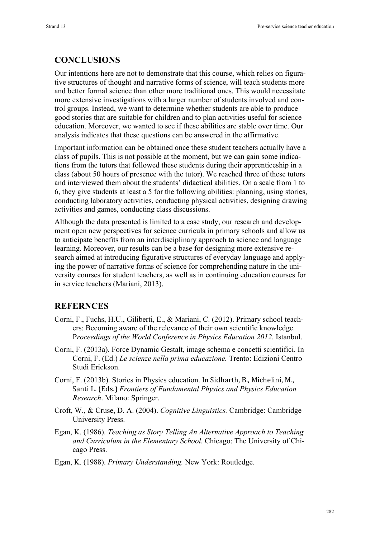# **CONCLUSIONS**

Our intentions here are not to demonstrate that this course, which relies on figurative structures of thought and narrative forms of science, will teach students more and better formal science than other more traditional ones. This would necessitate more extensive investigations with a larger number of students involved and control groups. Instead, we want to determine whether students are able to produce good stories that are suitable for children and to plan activities useful for science education. Moreover, we wanted to see if these abilities are stable over time. Our analysis indicates that these questions can be answered in the affirmative.

Important information can be obtained once these student teachers actually have a class of pupils. This is not possible at the moment, but we can gain some indications from the tutors that followed these students during their apprenticeship in a class (about 50 hours of presence with the tutor). We reached three of these tutors and interviewed them about the students' didactical abilities. On a scale from 1 to 6, they give students at least a 5 for the following abilities: planning, using stories, conducting laboratory activities, conducting physical activities, designing drawing activities and games, conducting class discussions.

Although the data presented is limited to a case study, our research and development open new perspectives for science curricula in primary schools and allow us to anticipate benefits from an interdisciplinary approach to science and language learning. Moreover, our results can be a base for designing more extensive research aimed at introducing figurative structures of everyday language and applying the power of narrative forms of science for comprehending nature in the university courses for student teachers, as well as in continuing education courses for in service teachers (Mariani, 2013).

### **REFERNCES**

- Corni, F., Fuchs, H.U., Giliberti, E., & Mariani, C. (2012). Primary school teachers: Becoming aware of the relevance of their own scientific knowledge. P*roceedings of the World Conference in Physics Education 2012.* Istanbul.
- Corni, F. (2013a). Force Dynamic Gestalt, image schema e concetti scientifici. In Corni, F. (Ed.) *Le scienze nella prima educazione.* Trento: Edizioni Centro Studi Erickson.
- Corni, F. (2013b). Stories in Physics education. In Sidharth, B., Michelini, M., Santi)L.)(Eds.))*Frontiers of Fundamental Physics and Physics Education Research*. Milano: Springer.
- Croft, W., & Cruse, D. A. (2004). *Cognitive Linguistics.* Cambridge: Cambridge University Press.
- Egan, K. (1986). *Teaching as Story Telling An Alternative Approach to Teaching and Curriculum in the Elementary School.* Chicago: The University of Chicago Press.
- Egan, K. (1988). *Primary Understanding.* New York: Routledge.